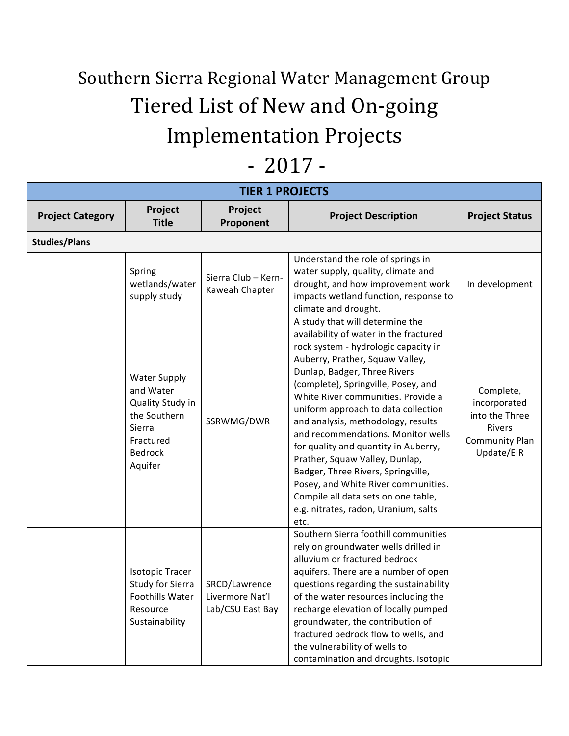## Southern Sierra Regional Water Management Group Tiered List of New and On-going Implementation Projects  $-2017-$

| <b>TIER 1 PROJECTS</b>  |                                                                                                                          |                                                      |                                                                                                                                                                                                                                                                                                                                                                                                                                                                                                                                                                                                                                    |                                                                                              |
|-------------------------|--------------------------------------------------------------------------------------------------------------------------|------------------------------------------------------|------------------------------------------------------------------------------------------------------------------------------------------------------------------------------------------------------------------------------------------------------------------------------------------------------------------------------------------------------------------------------------------------------------------------------------------------------------------------------------------------------------------------------------------------------------------------------------------------------------------------------------|----------------------------------------------------------------------------------------------|
| <b>Project Category</b> | Project<br><b>Title</b>                                                                                                  | Project<br>Proponent                                 | <b>Project Description</b>                                                                                                                                                                                                                                                                                                                                                                                                                                                                                                                                                                                                         | <b>Project Status</b>                                                                        |
| <b>Studies/Plans</b>    |                                                                                                                          |                                                      |                                                                                                                                                                                                                                                                                                                                                                                                                                                                                                                                                                                                                                    |                                                                                              |
|                         | Spring<br>wetlands/water<br>supply study                                                                                 | Sierra Club - Kern-<br>Kaweah Chapter                | Understand the role of springs in<br>water supply, quality, climate and<br>drought, and how improvement work<br>impacts wetland function, response to<br>climate and drought.                                                                                                                                                                                                                                                                                                                                                                                                                                                      | In development                                                                               |
|                         | <b>Water Supply</b><br>and Water<br>Quality Study in<br>the Southern<br>Sierra<br>Fractured<br><b>Bedrock</b><br>Aquifer | SSRWMG/DWR                                           | A study that will determine the<br>availability of water in the fractured<br>rock system - hydrologic capacity in<br>Auberry, Prather, Squaw Valley,<br>Dunlap, Badger, Three Rivers<br>(complete), Springville, Posey, and<br>White River communities. Provide a<br>uniform approach to data collection<br>and analysis, methodology, results<br>and recommendations. Monitor wells<br>for quality and quantity in Auberry,<br>Prather, Squaw Valley, Dunlap,<br>Badger, Three Rivers, Springville,<br>Posey, and White River communities.<br>Compile all data sets on one table,<br>e.g. nitrates, radon, Uranium, salts<br>etc. | Complete,<br>incorporated<br>into the Three<br>Rivers<br><b>Community Plan</b><br>Update/EIR |
|                         | <b>Isotopic Tracer</b><br>Study for Sierra<br><b>Foothills Water</b><br>Resource<br>Sustainability                       | SRCD/Lawrence<br>Livermore Nat'l<br>Lab/CSU East Bay | Southern Sierra foothill communities<br>rely on groundwater wells drilled in<br>alluvium or fractured bedrock<br>aquifers. There are a number of open<br>questions regarding the sustainability<br>of the water resources including the<br>recharge elevation of locally pumped<br>groundwater, the contribution of<br>fractured bedrock flow to wells, and<br>the vulnerability of wells to<br>contamination and droughts. Isotopic                                                                                                                                                                                               |                                                                                              |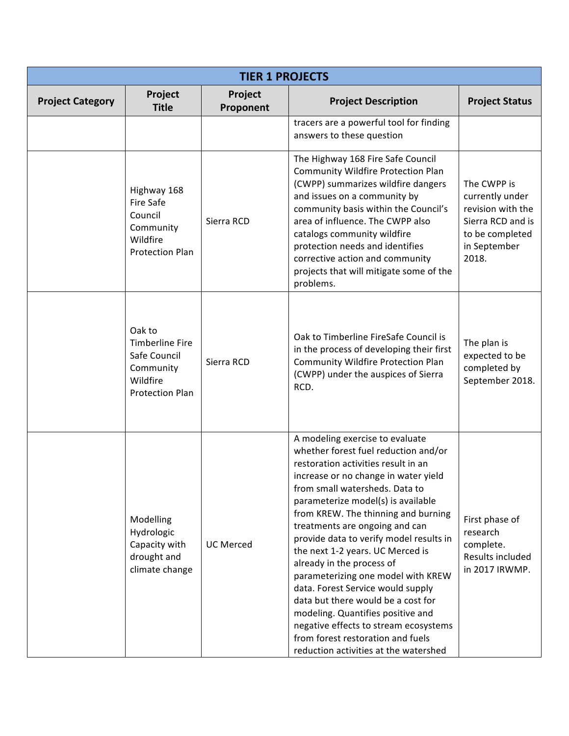| <b>TIER 1 PROJECTS</b>  |                                                                                                     |                      |                                                                                                                                                                                                                                                                                                                                                                                                                                                                                                                                                                                                                                                                                                  |                                                                                                                      |
|-------------------------|-----------------------------------------------------------------------------------------------------|----------------------|--------------------------------------------------------------------------------------------------------------------------------------------------------------------------------------------------------------------------------------------------------------------------------------------------------------------------------------------------------------------------------------------------------------------------------------------------------------------------------------------------------------------------------------------------------------------------------------------------------------------------------------------------------------------------------------------------|----------------------------------------------------------------------------------------------------------------------|
| <b>Project Category</b> | Project<br><b>Title</b>                                                                             | Project<br>Proponent | <b>Project Description</b>                                                                                                                                                                                                                                                                                                                                                                                                                                                                                                                                                                                                                                                                       | <b>Project Status</b>                                                                                                |
|                         |                                                                                                     |                      | tracers are a powerful tool for finding<br>answers to these question                                                                                                                                                                                                                                                                                                                                                                                                                                                                                                                                                                                                                             |                                                                                                                      |
|                         | Highway 168<br><b>Fire Safe</b><br>Council<br>Community<br>Wildfire<br><b>Protection Plan</b>       | Sierra RCD           | The Highway 168 Fire Safe Council<br><b>Community Wildfire Protection Plan</b><br>(CWPP) summarizes wildfire dangers<br>and issues on a community by<br>community basis within the Council's<br>area of influence. The CWPP also<br>catalogs community wildfire<br>protection needs and identifies<br>corrective action and community<br>projects that will mitigate some of the<br>problems.                                                                                                                                                                                                                                                                                                    | The CWPP is<br>currently under<br>revision with the<br>Sierra RCD and is<br>to be completed<br>in September<br>2018. |
|                         | Oak to<br><b>Timberline Fire</b><br>Safe Council<br>Community<br>Wildfire<br><b>Protection Plan</b> | Sierra RCD           | Oak to Timberline FireSafe Council is<br>in the process of developing their first<br><b>Community Wildfire Protection Plan</b><br>(CWPP) under the auspices of Sierra<br>RCD.                                                                                                                                                                                                                                                                                                                                                                                                                                                                                                                    | The plan is<br>expected to be<br>completed by<br>September 2018.                                                     |
|                         | Modelling<br>Hydrologic<br>Capacity with<br>drought and<br>climate change                           | <b>UC Merced</b>     | A modeling exercise to evaluate<br>whether forest fuel reduction and/or<br>restoration activities result in an<br>increase or no change in water yield<br>from small watersheds. Data to<br>parameterize model(s) is available<br>from KREW. The thinning and burning<br>treatments are ongoing and can<br>provide data to verify model results in<br>the next 1-2 years. UC Merced is<br>already in the process of<br>parameterizing one model with KREW<br>data. Forest Service would supply<br>data but there would be a cost for<br>modeling. Quantifies positive and<br>negative effects to stream ecosystems<br>from forest restoration and fuels<br>reduction activities at the watershed | First phase of<br>research<br>complete.<br>Results included<br>in 2017 IRWMP.                                        |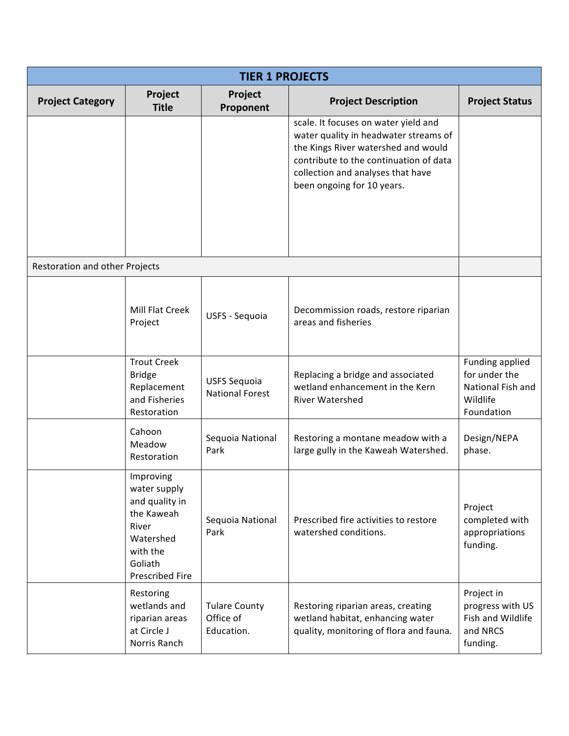| <b>TIER 1 PROJECTS</b>         |                                                                                                                                  |                                                 |                                                                                                                                                                                                                                   |                                                                                 |
|--------------------------------|----------------------------------------------------------------------------------------------------------------------------------|-------------------------------------------------|-----------------------------------------------------------------------------------------------------------------------------------------------------------------------------------------------------------------------------------|---------------------------------------------------------------------------------|
| <b>Project Category</b>        | Project<br><b>Title</b>                                                                                                          | Project<br>Proponent                            | <b>Project Description</b>                                                                                                                                                                                                        | <b>Project Status</b>                                                           |
|                                |                                                                                                                                  |                                                 | scale. It focuses on water yield and<br>water quality in headwater streams of<br>the Kings River watershed and would<br>contribute to the continuation of data<br>collection and analyses that have<br>been ongoing for 10 years. |                                                                                 |
| Restoration and other Projects |                                                                                                                                  |                                                 |                                                                                                                                                                                                                                   |                                                                                 |
|                                | Mill Flat Creek<br>Project                                                                                                       | USFS - Sequoia                                  | Decommission roads, restore riparian<br>areas and fisheries                                                                                                                                                                       |                                                                                 |
|                                | <b>Trout Creek</b><br><b>Bridge</b><br>Replacement<br>and Fisheries<br>Restoration                                               | <b>USFS Sequoia</b><br><b>National Forest</b>   | Replacing a bridge and associated<br>wetland enhancement in the Kern<br><b>River Watershed</b>                                                                                                                                    | Funding applied<br>for under the<br>National Fish and<br>Wildlife<br>Foundation |
|                                | Cahoon<br>Meadow<br>Restoration                                                                                                  | Sequoia National<br>Park                        | Restoring a montane meadow with a<br>large gully in the Kaweah Watershed.                                                                                                                                                         | Design/NEPA<br>phase.                                                           |
|                                | Improving<br>water supply<br>and quality in<br>the Kaweah<br>River<br>Watershed<br>with the<br>Goliath<br><b>Prescribed Fire</b> | Sequoia National<br>Park                        | Prescribed fire activities to restore<br>watershed conditions.                                                                                                                                                                    | Project<br>completed with<br>appropriations<br>funding.                         |
|                                | Restoring<br>wetlands and<br>riparian areas<br>at Circle J<br>Norris Ranch                                                       | <b>Tulare County</b><br>Office of<br>Education. | Restoring riparian areas, creating<br>wetland habitat, enhancing water<br>quality, monitoring of flora and fauna.                                                                                                                 | Project in<br>progress with US<br>Fish and Wildlife<br>and NRCS<br>funding.     |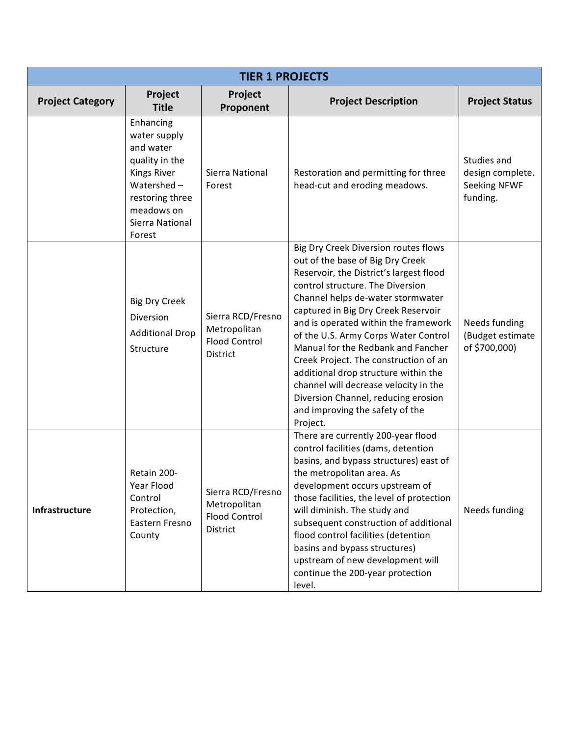|                         | <b>TIER 1 PROJECTS</b>                                                                                                                                        |                                                                              |                                                                                                                                                                                                                                                                                                                                                                                                                                                                                                                                                                           |                                                                    |  |
|-------------------------|---------------------------------------------------------------------------------------------------------------------------------------------------------------|------------------------------------------------------------------------------|---------------------------------------------------------------------------------------------------------------------------------------------------------------------------------------------------------------------------------------------------------------------------------------------------------------------------------------------------------------------------------------------------------------------------------------------------------------------------------------------------------------------------------------------------------------------------|--------------------------------------------------------------------|--|
| <b>Project Category</b> | Project<br><b>Title</b>                                                                                                                                       | Project<br>Proponent                                                         | <b>Project Description</b>                                                                                                                                                                                                                                                                                                                                                                                                                                                                                                                                                | <b>Project Status</b>                                              |  |
|                         | Enhancing<br>water supply<br>and water<br>quality in the<br><b>Kings River</b><br>Watershed $-$<br>restoring three<br>meadows on<br>Sierra National<br>Forest | Sierra National<br>Forest                                                    | Restoration and permitting for three<br>head-cut and eroding meadows.                                                                                                                                                                                                                                                                                                                                                                                                                                                                                                     | Studies and<br>design complete.<br><b>Seeking NFWF</b><br>funding. |  |
|                         | <b>Big Dry Creek</b><br>Diversion<br><b>Additional Drop</b><br>Structure                                                                                      | Sierra RCD/Fresno<br>Metropolitan<br><b>Flood Control</b><br><b>District</b> | Big Dry Creek Diversion routes flows<br>out of the base of Big Dry Creek<br>Reservoir, the District's largest flood<br>control structure. The Diversion<br>Channel helps de-water stormwater<br>captured in Big Dry Creek Reservoir<br>and is operated within the framework<br>of the U.S. Army Corps Water Control<br>Manual for the Redbank and Fancher<br>Creek Project. The construction of an<br>additional drop structure within the<br>channel will decrease velocity in the<br>Diversion Channel, reducing erosion<br>and improving the safety of the<br>Project. | Needs funding<br>(Budget estimate<br>of \$700,000)                 |  |
| Infrastructure          | Retain 200-<br>Year Flood<br>Control<br>Protection,<br>Eastern Fresno<br>County                                                                               | Sierra RCD/Fresno<br>Metropolitan<br>Flood Control<br>District               | There are currently 200-year flood<br>control facilities (dams, detention<br>basins, and bypass structures) east of<br>the metropolitan area. As<br>development occurs upstream of<br>those facilities, the level of protection<br>will diminish. The study and<br>subsequent construction of additional<br>flood control facilities (detention<br>basins and bypass structures)<br>upstream of new development will<br>continue the 200-year protection<br>level.                                                                                                        | Needs funding                                                      |  |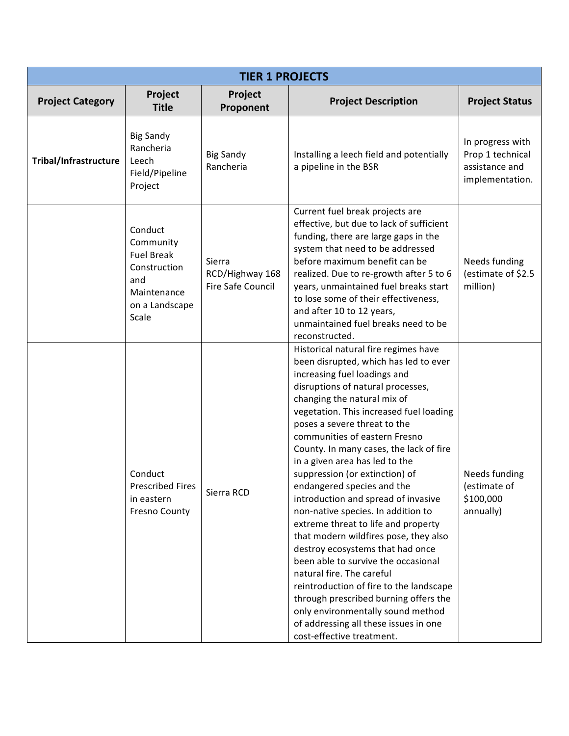| <b>TIER 1 PROJECTS</b>  |                                                                                                            |                                                |                                                                                                                                                                                                                                                                                                                                                                                                                                                                                                                                                                                                                                                                                                                                                                                                                                                                                                                |                                                                           |
|-------------------------|------------------------------------------------------------------------------------------------------------|------------------------------------------------|----------------------------------------------------------------------------------------------------------------------------------------------------------------------------------------------------------------------------------------------------------------------------------------------------------------------------------------------------------------------------------------------------------------------------------------------------------------------------------------------------------------------------------------------------------------------------------------------------------------------------------------------------------------------------------------------------------------------------------------------------------------------------------------------------------------------------------------------------------------------------------------------------------------|---------------------------------------------------------------------------|
| <b>Project Category</b> | Project<br><b>Title</b>                                                                                    | Project<br>Proponent                           | <b>Project Description</b>                                                                                                                                                                                                                                                                                                                                                                                                                                                                                                                                                                                                                                                                                                                                                                                                                                                                                     | <b>Project Status</b>                                                     |
| Tribal/Infrastructure   | <b>Big Sandy</b><br>Rancheria<br>Leech<br>Field/Pipeline<br>Project                                        | <b>Big Sandy</b><br>Rancheria                  | Installing a leech field and potentially<br>a pipeline in the BSR                                                                                                                                                                                                                                                                                                                                                                                                                                                                                                                                                                                                                                                                                                                                                                                                                                              | In progress with<br>Prop 1 technical<br>assistance and<br>implementation. |
|                         | Conduct<br>Community<br><b>Fuel Break</b><br>Construction<br>and<br>Maintenance<br>on a Landscape<br>Scale | Sierra<br>RCD/Highway 168<br>Fire Safe Council | Current fuel break projects are<br>effective, but due to lack of sufficient<br>funding, there are large gaps in the<br>system that need to be addressed<br>before maximum benefit can be<br>realized. Due to re-growth after 5 to 6<br>years, unmaintained fuel breaks start<br>to lose some of their effectiveness,<br>and after 10 to 12 years,<br>unmaintained fuel breaks need to be<br>reconstructed.                                                                                                                                                                                                                                                                                                                                                                                                                                                                                                     | Needs funding<br>(estimate of \$2.5<br>million)                           |
|                         | Conduct<br><b>Prescribed Fires</b><br>in eastern<br><b>Fresno County</b>                                   | Sierra RCD                                     | Historical natural fire regimes have<br>been disrupted, which has led to ever<br>increasing fuel loadings and<br>disruptions of natural processes,<br>changing the natural mix of<br>vegetation. This increased fuel loading<br>poses a severe threat to the<br>communities of eastern Fresno<br>County. In many cases, the lack of fire<br>in a given area has led to the<br>suppression (or extinction) of<br>endangered species and the<br>introduction and spread of invasive<br>non-native species. In addition to<br>extreme threat to life and property<br>that modern wildfires pose, they also<br>destroy ecosystems that had once<br>been able to survive the occasional<br>natural fire. The careful<br>reintroduction of fire to the landscape<br>through prescribed burning offers the<br>only environmentally sound method<br>of addressing all these issues in one<br>cost-effective treatment. | Needs funding<br>(estimate of<br>\$100,000<br>annually)                   |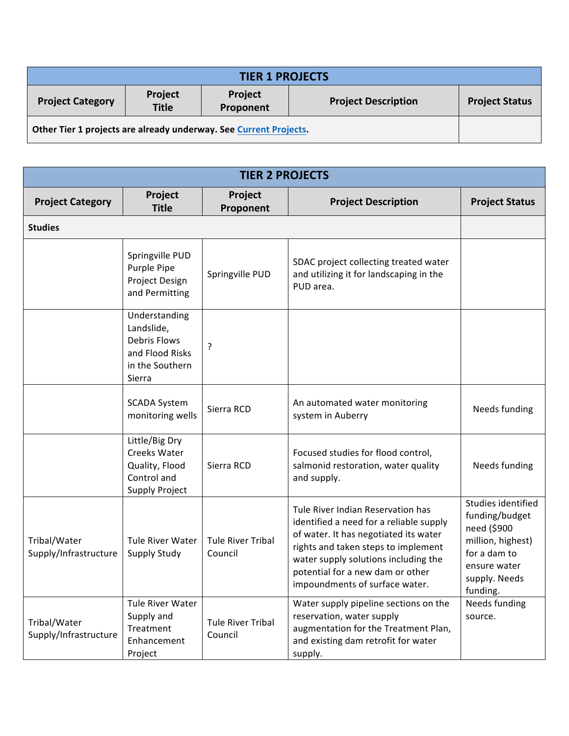| <b>TIER 1 PROJECTS</b>                                            |                         |                      |                            |                       |
|-------------------------------------------------------------------|-------------------------|----------------------|----------------------------|-----------------------|
| <b>Project Category</b>                                           | Project<br><b>Title</b> | Project<br>Proponent | <b>Project Description</b> | <b>Project Status</b> |
| Other Tier 1 projects are already underway. See Current Projects. |                         |                      |                            |                       |

| <b>TIER 2 PROJECTS</b>                |                                                                                                    |                                     |                                                                                                                                                                                                                                                                            |                                                                                                                                       |
|---------------------------------------|----------------------------------------------------------------------------------------------------|-------------------------------------|----------------------------------------------------------------------------------------------------------------------------------------------------------------------------------------------------------------------------------------------------------------------------|---------------------------------------------------------------------------------------------------------------------------------------|
| <b>Project Category</b>               | Project<br><b>Title</b>                                                                            | Project<br>Proponent                | <b>Project Description</b>                                                                                                                                                                                                                                                 | <b>Project Status</b>                                                                                                                 |
| <b>Studies</b>                        |                                                                                                    |                                     |                                                                                                                                                                                                                                                                            |                                                                                                                                       |
|                                       | Springville PUD<br>Purple Pipe<br>Project Design<br>and Permitting                                 | Springville PUD                     | SDAC project collecting treated water<br>and utilizing it for landscaping in the<br>PUD area.                                                                                                                                                                              |                                                                                                                                       |
|                                       | Understanding<br>Landslide,<br><b>Debris Flows</b><br>and Flood Risks<br>in the Southern<br>Sierra | ?                                   |                                                                                                                                                                                                                                                                            |                                                                                                                                       |
|                                       | <b>SCADA System</b><br>monitoring wells                                                            | Sierra RCD                          | An automated water monitoring<br>system in Auberry                                                                                                                                                                                                                         | Needs funding                                                                                                                         |
|                                       | Little/Big Dry<br>Creeks Water<br>Quality, Flood<br>Control and<br><b>Supply Project</b>           | Sierra RCD                          | Focused studies for flood control,<br>salmonid restoration, water quality<br>and supply.                                                                                                                                                                                   | Needs funding                                                                                                                         |
| Tribal/Water<br>Supply/Infrastructure | <b>Tule River Water</b><br>Supply Study                                                            | <b>Tule River Tribal</b><br>Council | Tule River Indian Reservation has<br>identified a need for a reliable supply<br>of water. It has negotiated its water<br>rights and taken steps to implement<br>water supply solutions including the<br>potential for a new dam or other<br>impoundments of surface water. | Studies identified<br>funding/budget<br>need (\$900<br>million, highest)<br>for a dam to<br>ensure water<br>supply. Needs<br>funding. |
| Tribal/Water<br>Supply/Infrastructure | <b>Tule River Water</b><br>Supply and<br>Treatment<br>Enhancement<br>Project                       | <b>Tule River Tribal</b><br>Council | Water supply pipeline sections on the<br>reservation, water supply<br>augmentation for the Treatment Plan,<br>and existing dam retrofit for water<br>supply.                                                                                                               | Needs funding<br>source.                                                                                                              |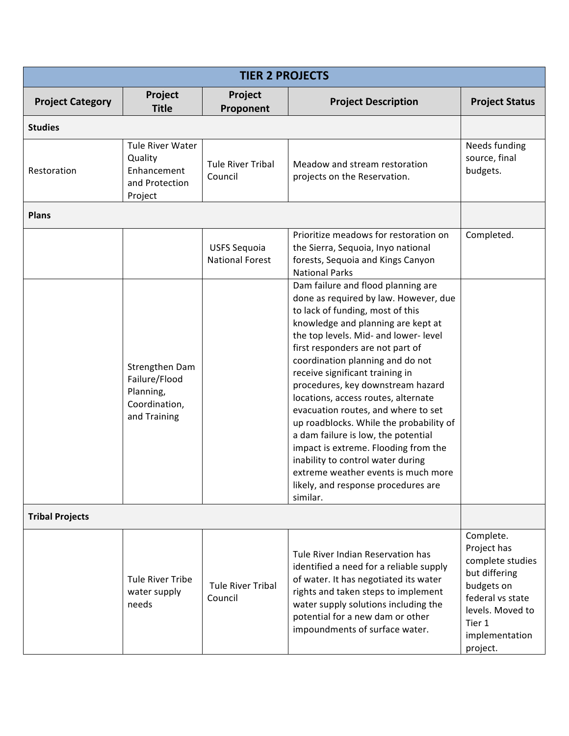|                         | <b>TIER 2 PROJECTS</b>                                                         |                                               |                                                                                                                                                                                                                                                                                                                                                                                                                                                                                                                                                                                                                                                                                       |                                                                                                                                                             |  |
|-------------------------|--------------------------------------------------------------------------------|-----------------------------------------------|---------------------------------------------------------------------------------------------------------------------------------------------------------------------------------------------------------------------------------------------------------------------------------------------------------------------------------------------------------------------------------------------------------------------------------------------------------------------------------------------------------------------------------------------------------------------------------------------------------------------------------------------------------------------------------------|-------------------------------------------------------------------------------------------------------------------------------------------------------------|--|
| <b>Project Category</b> | Project<br><b>Title</b>                                                        | Project<br>Proponent                          | <b>Project Description</b>                                                                                                                                                                                                                                                                                                                                                                                                                                                                                                                                                                                                                                                            | <b>Project Status</b>                                                                                                                                       |  |
| <b>Studies</b>          |                                                                                |                                               |                                                                                                                                                                                                                                                                                                                                                                                                                                                                                                                                                                                                                                                                                       |                                                                                                                                                             |  |
| Restoration             | <b>Tule River Water</b><br>Quality<br>Enhancement<br>and Protection<br>Project | <b>Tule River Tribal</b><br>Council           | Meadow and stream restoration<br>projects on the Reservation.                                                                                                                                                                                                                                                                                                                                                                                                                                                                                                                                                                                                                         | Needs funding<br>source, final<br>budgets.                                                                                                                  |  |
| <b>Plans</b>            |                                                                                |                                               |                                                                                                                                                                                                                                                                                                                                                                                                                                                                                                                                                                                                                                                                                       |                                                                                                                                                             |  |
|                         |                                                                                | <b>USFS Sequoia</b><br><b>National Forest</b> | Prioritize meadows for restoration on<br>the Sierra, Sequoia, Inyo national<br>forests, Sequoia and Kings Canyon<br><b>National Parks</b>                                                                                                                                                                                                                                                                                                                                                                                                                                                                                                                                             | Completed.                                                                                                                                                  |  |
|                         | Strengthen Dam<br>Failure/Flood<br>Planning,<br>Coordination,<br>and Training  |                                               | Dam failure and flood planning are<br>done as required by law. However, due<br>to lack of funding, most of this<br>knowledge and planning are kept at<br>the top levels. Mid- and lower- level<br>first responders are not part of<br>coordination planning and do not<br>receive significant training in<br>procedures, key downstream hazard<br>locations, access routes, alternate<br>evacuation routes, and where to set<br>up roadblocks. While the probability of<br>a dam failure is low, the potential<br>impact is extreme. Flooding from the<br>inability to control water during<br>extreme weather events is much more<br>likely, and response procedures are<br>similar. |                                                                                                                                                             |  |
| <b>Tribal Projects</b>  |                                                                                |                                               |                                                                                                                                                                                                                                                                                                                                                                                                                                                                                                                                                                                                                                                                                       |                                                                                                                                                             |  |
|                         | <b>Tule River Tribe</b><br>water supply<br>needs                               | <b>Tule River Tribal</b><br>Council           | Tule River Indian Reservation has<br>identified a need for a reliable supply<br>of water. It has negotiated its water<br>rights and taken steps to implement<br>water supply solutions including the<br>potential for a new dam or other<br>impoundments of surface water.                                                                                                                                                                                                                                                                                                                                                                                                            | Complete.<br>Project has<br>complete studies<br>but differing<br>budgets on<br>federal vs state<br>levels. Moved to<br>Tier 1<br>implementation<br>project. |  |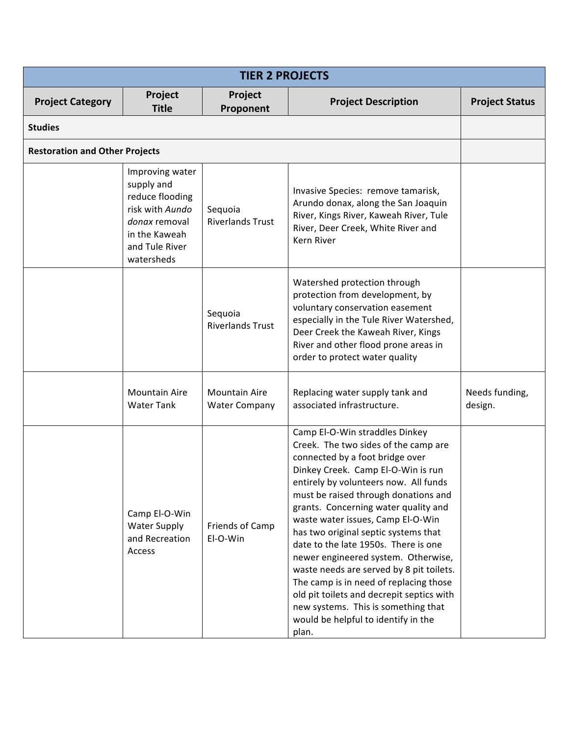|                                       | <b>TIER 2 PROJECTS</b>                                                                                                                |                                              |                                                                                                                                                                                                                                                                                                                                                                                                                                                                                                                                                                                                                                                                |                           |  |
|---------------------------------------|---------------------------------------------------------------------------------------------------------------------------------------|----------------------------------------------|----------------------------------------------------------------------------------------------------------------------------------------------------------------------------------------------------------------------------------------------------------------------------------------------------------------------------------------------------------------------------------------------------------------------------------------------------------------------------------------------------------------------------------------------------------------------------------------------------------------------------------------------------------------|---------------------------|--|
| <b>Project Category</b>               | Project<br><b>Title</b>                                                                                                               | Project<br>Proponent                         | <b>Project Description</b>                                                                                                                                                                                                                                                                                                                                                                                                                                                                                                                                                                                                                                     | <b>Project Status</b>     |  |
| <b>Studies</b>                        |                                                                                                                                       |                                              |                                                                                                                                                                                                                                                                                                                                                                                                                                                                                                                                                                                                                                                                |                           |  |
| <b>Restoration and Other Projects</b> |                                                                                                                                       |                                              |                                                                                                                                                                                                                                                                                                                                                                                                                                                                                                                                                                                                                                                                |                           |  |
|                                       | Improving water<br>supply and<br>reduce flooding<br>risk with Aundo<br>donax removal<br>in the Kaweah<br>and Tule River<br>watersheds | Sequoia<br><b>Riverlands Trust</b>           | Invasive Species: remove tamarisk,<br>Arundo donax, along the San Joaquin<br>River, Kings River, Kaweah River, Tule<br>River, Deer Creek, White River and<br>Kern River                                                                                                                                                                                                                                                                                                                                                                                                                                                                                        |                           |  |
|                                       |                                                                                                                                       | Sequoia<br><b>Riverlands Trust</b>           | Watershed protection through<br>protection from development, by<br>voluntary conservation easement<br>especially in the Tule River Watershed,<br>Deer Creek the Kaweah River, Kings<br>River and other flood prone areas in<br>order to protect water quality                                                                                                                                                                                                                                                                                                                                                                                                  |                           |  |
|                                       | <b>Mountain Aire</b><br><b>Water Tank</b>                                                                                             | <b>Mountain Aire</b><br><b>Water Company</b> | Replacing water supply tank and<br>associated infrastructure.                                                                                                                                                                                                                                                                                                                                                                                                                                                                                                                                                                                                  | Needs funding,<br>design. |  |
|                                       | Camp El-O-Win<br><b>Water Supply</b><br>and Recreation<br>Access                                                                      | Friends of Camp<br>El-O-Win                  | Camp El-O-Win straddles Dinkey<br>Creek. The two sides of the camp are<br>connected by a foot bridge over<br>Dinkey Creek. Camp El-O-Win is run<br>entirely by volunteers now. All funds<br>must be raised through donations and<br>grants. Concerning water quality and<br>waste water issues, Camp El-O-Win<br>has two original septic systems that<br>date to the late 1950s. There is one<br>newer engineered system. Otherwise,<br>waste needs are served by 8 pit toilets.<br>The camp is in need of replacing those<br>old pit toilets and decrepit septics with<br>new systems. This is something that<br>would be helpful to identify in the<br>plan. |                           |  |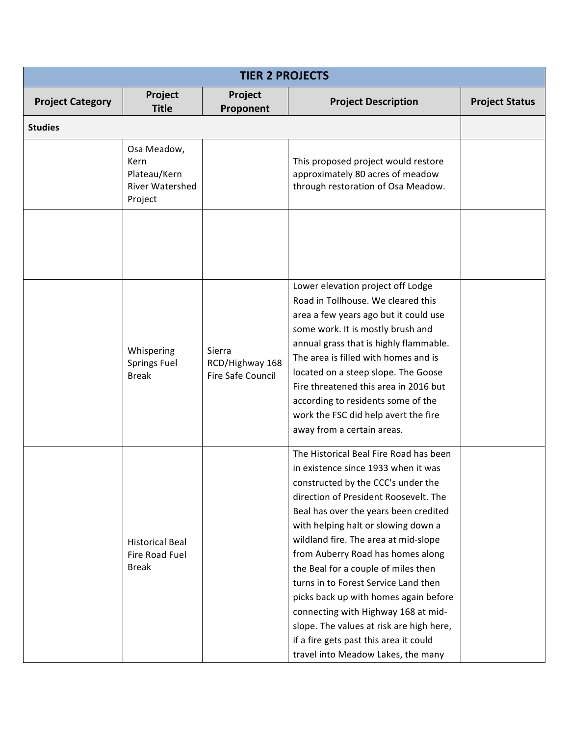| <b>TIER 2 PROJECTS</b>  |                                                                          |                                                |                                                                                                                                                                                                                                                                                                                                                                                                                                                                                                                                                                                                                      |                       |
|-------------------------|--------------------------------------------------------------------------|------------------------------------------------|----------------------------------------------------------------------------------------------------------------------------------------------------------------------------------------------------------------------------------------------------------------------------------------------------------------------------------------------------------------------------------------------------------------------------------------------------------------------------------------------------------------------------------------------------------------------------------------------------------------------|-----------------------|
| <b>Project Category</b> | Project<br><b>Title</b>                                                  | Project<br>Proponent                           | <b>Project Description</b>                                                                                                                                                                                                                                                                                                                                                                                                                                                                                                                                                                                           | <b>Project Status</b> |
| <b>Studies</b>          |                                                                          |                                                |                                                                                                                                                                                                                                                                                                                                                                                                                                                                                                                                                                                                                      |                       |
|                         | Osa Meadow,<br>Kern<br>Plateau/Kern<br><b>River Watershed</b><br>Project |                                                | This proposed project would restore<br>approximately 80 acres of meadow<br>through restoration of Osa Meadow.                                                                                                                                                                                                                                                                                                                                                                                                                                                                                                        |                       |
|                         |                                                                          |                                                |                                                                                                                                                                                                                                                                                                                                                                                                                                                                                                                                                                                                                      |                       |
|                         | Whispering<br><b>Springs Fuel</b><br><b>Break</b>                        | Sierra<br>RCD/Highway 168<br>Fire Safe Council | Lower elevation project off Lodge<br>Road in Tollhouse. We cleared this<br>area a few years ago but it could use<br>some work. It is mostly brush and<br>annual grass that is highly flammable.<br>The area is filled with homes and is<br>located on a steep slope. The Goose<br>Fire threatened this area in 2016 but<br>according to residents some of the<br>work the FSC did help avert the fire<br>away from a certain areas.                                                                                                                                                                                  |                       |
|                         | <b>Historical Beal</b><br>Fire Road Fuel<br><b>Break</b>                 |                                                | The Historical Beal Fire Road has been<br>in existence since 1933 when it was<br>constructed by the CCC's under the<br>direction of President Roosevelt. The<br>Beal has over the years been credited<br>with helping halt or slowing down a<br>wildland fire. The area at mid-slope<br>from Auberry Road has homes along<br>the Beal for a couple of miles then<br>turns in to Forest Service Land then<br>picks back up with homes again before<br>connecting with Highway 168 at mid-<br>slope. The values at risk are high here,<br>if a fire gets past this area it could<br>travel into Meadow Lakes, the many |                       |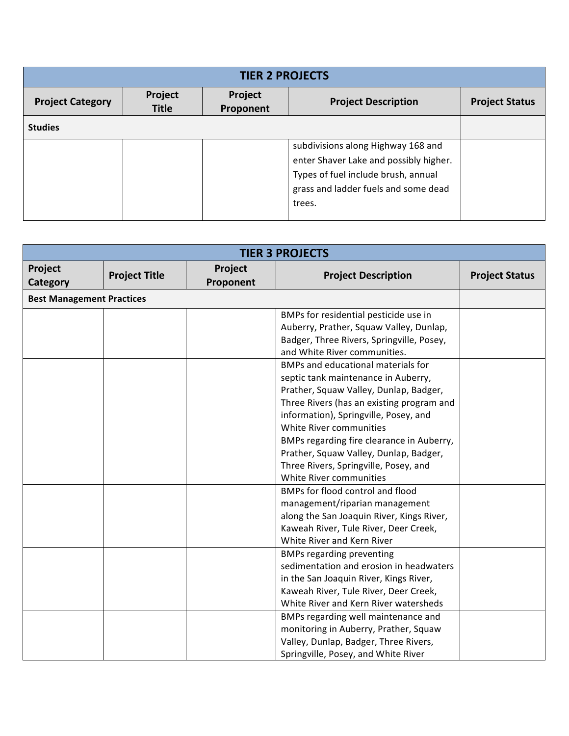| <b>TIER 2 PROJECTS</b>  |                         |                      |                                                                                                                                                                       |                       |
|-------------------------|-------------------------|----------------------|-----------------------------------------------------------------------------------------------------------------------------------------------------------------------|-----------------------|
| <b>Project Category</b> | Project<br><b>Title</b> | Project<br>Proponent | <b>Project Description</b>                                                                                                                                            | <b>Project Status</b> |
| <b>Studies</b>          |                         |                      |                                                                                                                                                                       |                       |
|                         |                         |                      | subdivisions along Highway 168 and<br>enter Shaver Lake and possibly higher.<br>Types of fuel include brush, annual<br>grass and ladder fuels and some dead<br>trees. |                       |

|                                  | <b>TIER 3 PROJECTS</b> |                      |                                                                                                                                                                                                                                                                                                                                                                         |                       |  |
|----------------------------------|------------------------|----------------------|-------------------------------------------------------------------------------------------------------------------------------------------------------------------------------------------------------------------------------------------------------------------------------------------------------------------------------------------------------------------------|-----------------------|--|
| Project<br><b>Category</b>       | <b>Project Title</b>   | Project<br>Proponent | <b>Project Description</b>                                                                                                                                                                                                                                                                                                                                              | <b>Project Status</b> |  |
| <b>Best Management Practices</b> |                        |                      |                                                                                                                                                                                                                                                                                                                                                                         |                       |  |
|                                  |                        |                      | BMPs for residential pesticide use in<br>Auberry, Prather, Squaw Valley, Dunlap,<br>Badger, Three Rivers, Springville, Posey,<br>and White River communities.                                                                                                                                                                                                           |                       |  |
|                                  |                        |                      | <b>BMPs and educational materials for</b><br>septic tank maintenance in Auberry,<br>Prather, Squaw Valley, Dunlap, Badger,<br>Three Rivers (has an existing program and<br>information), Springville, Posey, and<br>White River communities                                                                                                                             |                       |  |
|                                  |                        |                      | BMPs regarding fire clearance in Auberry,<br>Prather, Squaw Valley, Dunlap, Badger,<br>Three Rivers, Springville, Posey, and<br>White River communities                                                                                                                                                                                                                 |                       |  |
|                                  |                        |                      | BMPs for flood control and flood<br>management/riparian management<br>along the San Joaquin River, Kings River,<br>Kaweah River, Tule River, Deer Creek,<br>White River and Kern River                                                                                                                                                                                  |                       |  |
|                                  |                        |                      | <b>BMPs regarding preventing</b><br>sedimentation and erosion in headwaters<br>in the San Joaquin River, Kings River,<br>Kaweah River, Tule River, Deer Creek,<br>White River and Kern River watersheds<br>BMPs regarding well maintenance and<br>monitoring in Auberry, Prather, Squaw<br>Valley, Dunlap, Badger, Three Rivers,<br>Springville, Posey, and White River |                       |  |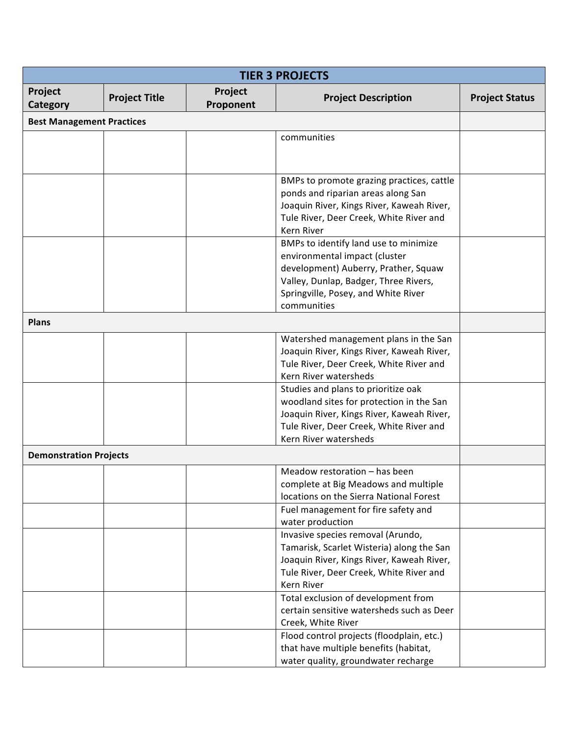| <b>TIER 3 PROJECTS</b>           |                      |                      |                                                                                                                                                                                                               |                       |  |  |
|----------------------------------|----------------------|----------------------|---------------------------------------------------------------------------------------------------------------------------------------------------------------------------------------------------------------|-----------------------|--|--|
| Project<br>Category              | <b>Project Title</b> | Project<br>Proponent | <b>Project Description</b>                                                                                                                                                                                    | <b>Project Status</b> |  |  |
| <b>Best Management Practices</b> |                      |                      |                                                                                                                                                                                                               |                       |  |  |
|                                  |                      |                      | communities                                                                                                                                                                                                   |                       |  |  |
|                                  |                      |                      | BMPs to promote grazing practices, cattle<br>ponds and riparian areas along San<br>Joaquin River, Kings River, Kaweah River,<br>Tule River, Deer Creek, White River and<br>Kern River                         |                       |  |  |
|                                  |                      |                      | BMPs to identify land use to minimize<br>environmental impact (cluster<br>development) Auberry, Prather, Squaw<br>Valley, Dunlap, Badger, Three Rivers,<br>Springville, Posey, and White River<br>communities |                       |  |  |
| <b>Plans</b>                     |                      |                      |                                                                                                                                                                                                               |                       |  |  |
|                                  |                      |                      | Watershed management plans in the San<br>Joaquin River, Kings River, Kaweah River,<br>Tule River, Deer Creek, White River and<br>Kern River watersheds                                                        |                       |  |  |
|                                  |                      |                      | Studies and plans to prioritize oak<br>woodland sites for protection in the San<br>Joaquin River, Kings River, Kaweah River,<br>Tule River, Deer Creek, White River and<br>Kern River watersheds              |                       |  |  |
| <b>Demonstration Projects</b>    |                      |                      |                                                                                                                                                                                                               |                       |  |  |
|                                  |                      |                      | Meadow restoration - has been<br>complete at Big Meadows and multiple<br>locations on the Sierra National Forest                                                                                              |                       |  |  |
|                                  |                      |                      | Fuel management for fire safety and<br>water production                                                                                                                                                       |                       |  |  |
|                                  |                      |                      | Invasive species removal (Arundo,<br>Tamarisk, Scarlet Wisteria) along the San<br>Joaquin River, Kings River, Kaweah River,<br>Tule River, Deer Creek, White River and<br>Kern River                          |                       |  |  |
|                                  |                      |                      | Total exclusion of development from<br>certain sensitive watersheds such as Deer<br>Creek, White River                                                                                                        |                       |  |  |
|                                  |                      |                      | Flood control projects (floodplain, etc.)<br>that have multiple benefits (habitat,<br>water quality, groundwater recharge                                                                                     |                       |  |  |